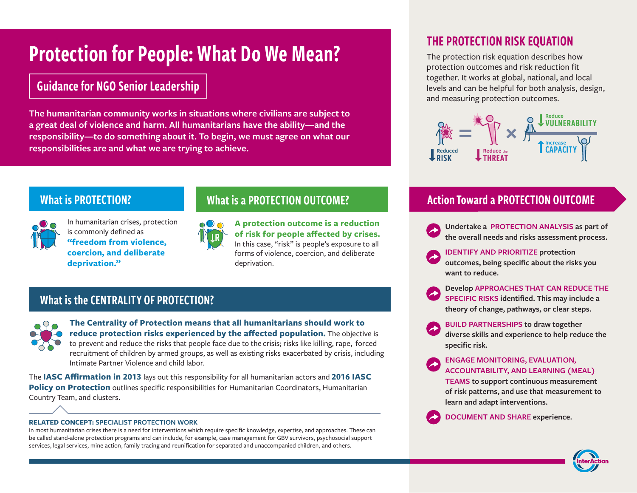# Protection for People: What Do We Mean?

# Guidance for NGO Senior Leadership

**The humanitarian community works in situations where civilians are subject to a great deal of violence and harm. All humanitarians have the ability—and the responsibility—to do something about it. To begin, we must agree on what our responsibilities are and what we are trying to achieve.**

## What is PROTECTION?

In humanitarian crises, protection is commonly defined as **"freedom from violence, coercion, and deliberate deprivation."** 

# R

**A protection outcome is a reduction of risk for people affected by crises.** In this case, "risk" is people's exposure to all forms of violence, coercion, and deliberate deprivation.

What is a PROTECTION OUTCOME?

# What is the CENTRALITY OF PROTECTION?



**The Centrality of Protection means that all humanitarians should work to reduce protection risks experienced by the affected population.** The objective is to prevent and reduce the risks that people face due to the crisis; risks like killing, rape, forced recruitment of children by armed groups, as well as existing risks exacerbated by crisis, including Intimate Partner Violence and child labor.

The **IASC Affirmation in 2013** lays out this responsibility for all humanitarian actors and **2016 IASC Policy on Protection** outlines specific responsibilities for Humanitarian Coordinators, Humanitarian Country Team, and clusters.

#### **RELATED CONCEPT: SPECIALIST PROTECTION WORK**

In most humanitarian crises there is a need for interventions which require specific knowledge, expertise, and approaches. These can be called stand-alone protection programs and can include, for example, case management for GBV survivors, psychosocial support services, legal services, mine action, family tracing and reunification for separated and unaccompanied children, and others.

# THE PROTECTION RISK EQUATION

The protection risk equation describes how protection outcomes and risk reduction fit together. It works at global, national, and local levels and can be helpful for both analysis, design, and measuring protection outcomes.



# Action Toward a PROTECTION OUTCOME

- **Undertake a PROTECTION ANALYSIS as part of the overall needs and risks assessment process.**
- **IDENTIFY AND PRIORITIZE protection outcomes, being specific about the risks you want to reduce.**
- **Develop APPROACHES THAT CAN REDUCE THE SPECIFIC RISKS identified. This may include a theory of change, pathways, or clear steps.**
- **BUILD PARTNERSHIPS to draw together diverse skills and experience to help reduce the specific risk.**
- **ENGAGE MONITORING, EVALUATION, ACCOUNTABILITY, AND LEARNING (MEAL) TEAMS to support continuous measurement of risk patterns, and use that measurement to**

**learn and adapt interventions.**

**DOCUMENT AND SHARE experience.**

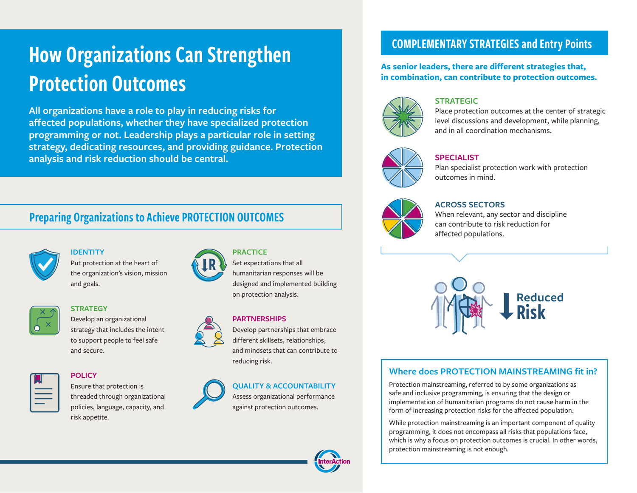# How Organizations Can Strengthen Protection Outcomes

**All organizations have a role to play in reducing risks for affected populations, whether they have specialized protection programming or not. Leadership plays a particular role in setting strategy, dedicating resources, and providing guidance. Protection analysis and risk reduction should be central.** 

# Preparing Organizations to Achieve PROTECTION OUTCOMES



# **IDENTITY**

Put protection at the heart of the organization's vision, mission and goals.



### **STRATEGY**

Develop an organizational strategy that includes the intent to support people to feel safe and secure.



### **POLICY**

Ensure that protection is threaded through organizational policies, language, capacity, and risk appetite.



R

### **PARTNERSHIPS**

Set expectations that all humanitarian responses will be designed and implemented building

on protection analysis.

**PRACTICE** 

Develop partnerships that embrace different skillsets, relationships, and mindsets that can contribute to reducing risk.



### **QUALITY & ACCOUNTABILITY**

Assess organizational performance against protection outcomes.

# **in combination, can contribute to protection outcomes.**

### **STRATEGIC**

Place protection outcomes at the center of strategic level discussions and development, while planning, and in all coordination mechanisms.



### **SPECIALIST**

Plan specialist protection work with protection outcomes in mind.



### **ACROSS SECTORS**

When relevant, any sector and discipline can contribute to risk reduction for affected populations.



## **Where does PROTECTION MAINSTREAMING fit in?**

Protection mainstreaming, referred to by some organizations as safe and inclusive programming, is ensuring that the design or implementation of humanitarian programs do not cause harm in the form of increasing protection risks for the affected population.

While protection mainstreaming is an important component of quality programming, it does not encompass all risks that populations face, which is why a focus on protection outcomes is crucial. In other words, protection mainstreaming is not enough.



# COMPLEMENTARY STRATEGIES and Entry Points

**As senior leaders, there are different strategies that,**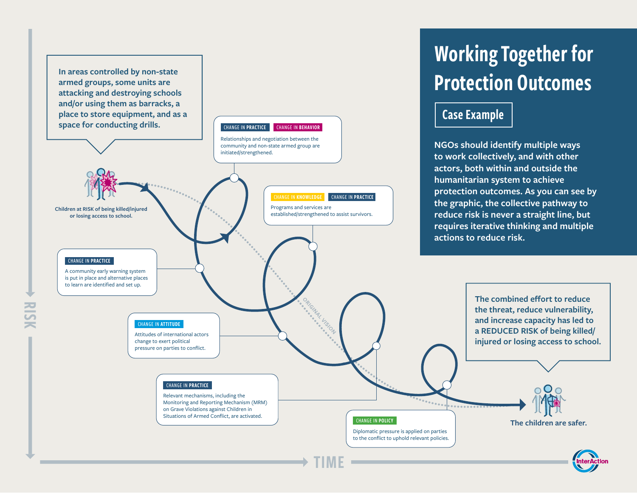**Children at RISK of being killed/injured or losing access to school.**  Programs and services are established/strengthened to assist survivors. Relationships and negotiation between the community and non-state armed group are initiated/strengthened. CHANGE IN PRACTICE CHANGE IN BEHAVIOR **In areas controlled by non-state armed groups, some units are attacking and destroying schools and/or using them as barracks, a place to store equipment, and as a space for conducting drills.**

CHANGE IN PRACTICE

A community early warning system is put in place and alternative places to learn are identified and set up.

# Working Together for Protection Outcomes

# Case Example

**NGOs should identify multiple ways to work collectively, and with other actors, both within and outside the humanitarian system to achieve protection outcomes. As you can see by the graphic, the collective pathway to reduce risk is never a straight line, but requires iterative thinking and multiple actions to reduce risk.**



**CHANGE IN KNOWLEDGE CHANGE IN PRACTICE**